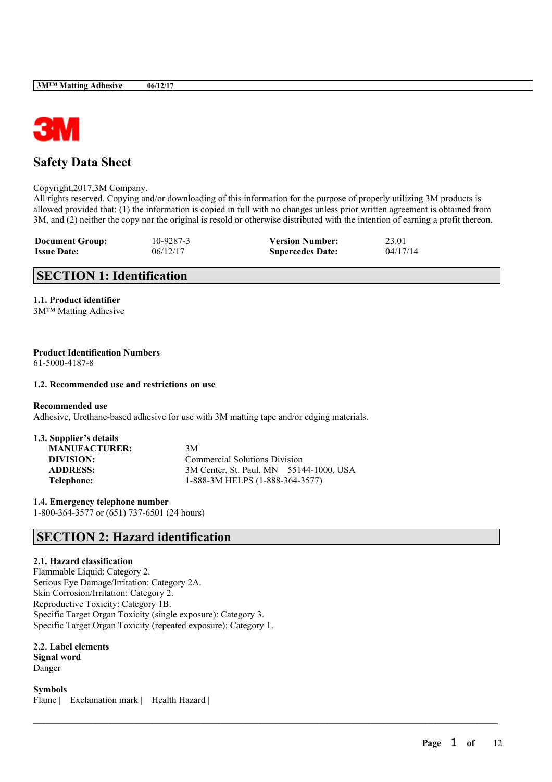

# **Safety Data Sheet**

Copyright,2017,3M Company.

All rights reserved. Copying and/or downloading of this information for the purpose of properly utilizing 3M products is allowed provided that: (1) the information is copied in full with no changes unless prior written agreement is obtained from 3M, and (2) neither the copy nor the original is resold or otherwise distributed with the intention of earning a profit thereon.

| <b>Document Group:</b> | 10-9287-3 | <b>Version Number:</b>  | 23.01    |
|------------------------|-----------|-------------------------|----------|
| <b>Issue Date:</b>     | 06/12/17  | <b>Supercedes Date:</b> | 04/17/14 |

# **SECTION 1: Identification**

**1.1. Product identifier** 3M™ Matting Adhesive

### **Product Identification Numbers** 61-5000-4187-8

### **1.2. Recommended use and restrictions on use**

**Recommended use**

Adhesive, Urethane-based adhesive for use with 3M matting tape and/or edging materials.

# **1.3. Supplier's details MANUFACTURER:** 3M

**DIVISION:** Commercial Solutions Division **ADDRESS:** 3M Center, St. Paul, MN 55144-1000, USA **Telephone:** 1-888-3M HELPS (1-888-364-3577)

 $\mathcal{L}_\mathcal{L} = \mathcal{L}_\mathcal{L} = \mathcal{L}_\mathcal{L} = \mathcal{L}_\mathcal{L} = \mathcal{L}_\mathcal{L} = \mathcal{L}_\mathcal{L} = \mathcal{L}_\mathcal{L} = \mathcal{L}_\mathcal{L} = \mathcal{L}_\mathcal{L} = \mathcal{L}_\mathcal{L} = \mathcal{L}_\mathcal{L} = \mathcal{L}_\mathcal{L} = \mathcal{L}_\mathcal{L} = \mathcal{L}_\mathcal{L} = \mathcal{L}_\mathcal{L} = \mathcal{L}_\mathcal{L} = \mathcal{L}_\mathcal{L}$ 

**1.4. Emergency telephone number** 1-800-364-3577 or (651) 737-6501 (24 hours)

# **SECTION 2: Hazard identification**

### **2.1. Hazard classification**

Flammable Liquid: Category 2. Serious Eye Damage/Irritation: Category 2A. Skin Corrosion/Irritation: Category 2. Reproductive Toxicity: Category 1B. Specific Target Organ Toxicity (single exposure): Category 3. Specific Target Organ Toxicity (repeated exposure): Category 1.

**2.2. Label elements Signal word** Danger

**Symbols** Flame | Exclamation mark | Health Hazard |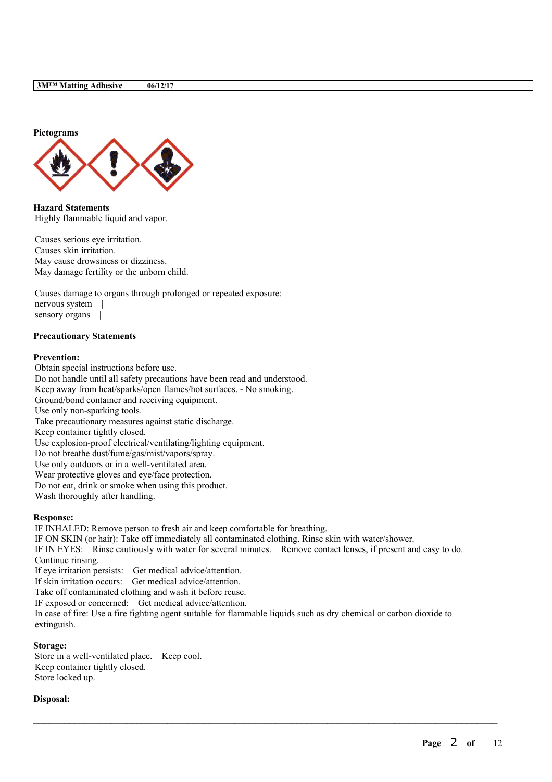

**Hazard Statements** Highly flammable liquid and vapor.

Causes serious eye irritation. Causes skin irritation. May cause drowsiness or dizziness. May damage fertility or the unborn child.

Causes damage to organs through prolonged or repeated exposure: nervous system | sensory organs |

### **Precautionary Statements**

### **Prevention:**

Obtain special instructions before use. Do not handle until all safety precautions have been read and understood. Keep away from heat/sparks/open flames/hot surfaces. - No smoking. Ground/bond container and receiving equipment. Use only non-sparking tools. Take precautionary measures against static discharge. Keep container tightly closed. Use explosion-proof electrical/ventilating/lighting equipment. Do not breathe dust/fume/gas/mist/vapors/spray. Use only outdoors or in a well-ventilated area. Wear protective gloves and eye/face protection. Do not eat, drink or smoke when using this product. Wash thoroughly after handling.

### **Response:**

IF INHALED: Remove person to fresh air and keep comfortable for breathing. IF ON SKIN (or hair): Take off immediately all contaminated clothing. Rinse skin with water/shower. IF IN EYES: Rinse cautiously with water for several minutes. Remove contact lenses, if present and easy to do. Continue rinsing. If eye irritation persists: Get medical advice/attention. If skin irritation occurs: Get medical advice/attention. Take off contaminated clothing and wash it before reuse. IF exposed or concerned: Get medical advice/attention. In case of fire: Use a fire fighting agent suitable for flammable liquids such as dry chemical or carbon dioxide to extinguish.

 $\mathcal{L}_\mathcal{L} = \mathcal{L}_\mathcal{L} = \mathcal{L}_\mathcal{L} = \mathcal{L}_\mathcal{L} = \mathcal{L}_\mathcal{L} = \mathcal{L}_\mathcal{L} = \mathcal{L}_\mathcal{L} = \mathcal{L}_\mathcal{L} = \mathcal{L}_\mathcal{L} = \mathcal{L}_\mathcal{L} = \mathcal{L}_\mathcal{L} = \mathcal{L}_\mathcal{L} = \mathcal{L}_\mathcal{L} = \mathcal{L}_\mathcal{L} = \mathcal{L}_\mathcal{L} = \mathcal{L}_\mathcal{L} = \mathcal{L}_\mathcal{L}$ 

### **Storage:**

Store in a well-ventilated place. Keep cool. Keep container tightly closed. Store locked up.

### **Disposal:**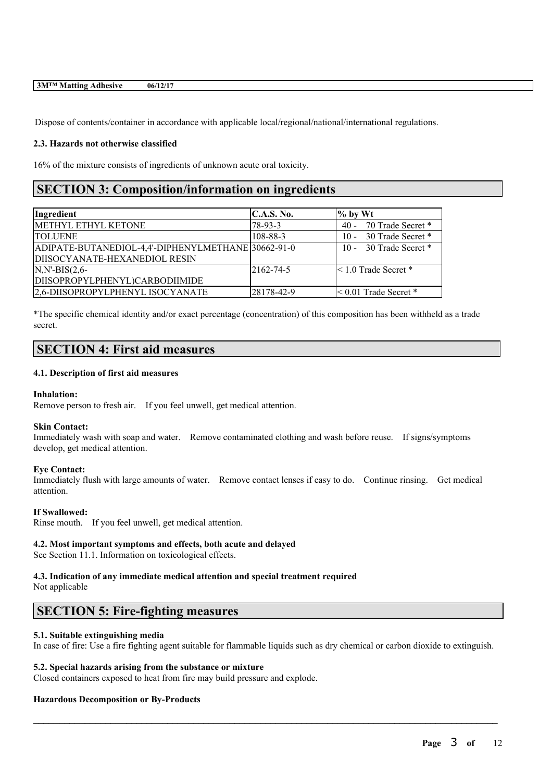Dispose of contents/container in accordance with applicable local/regional/national/international regulations.

### **2.3. Hazards not otherwise classified**

16% of the mixture consists of ingredients of unknown acute oral toxicity.

# **SECTION 3: Composition/information on ingredients**

| Ingredient                                         | C.A.S. No. | $\%$ by Wt                  |
|----------------------------------------------------|------------|-----------------------------|
| METHYL ETHYL KETONE                                | 78-93-3    | 70 Trade Secret *<br>$40 -$ |
| <b>TOLUENE</b>                                     | 108-88-3   | 10 - 30 Trade Secret *      |
| ADIPATE-BUTANEDIOL-4,4'-DIPHENYLMETHANE 30662-91-0 |            | 10 - 30 Trade Secret *      |
| DIISOCYANATE-HEXANEDIOL RESIN                      |            |                             |
| $N,N'-BIS(2,6-$                                    | 2162-74-5  | $\leq 1.0$ Trade Secret $*$ |
| DIISOPROPYLPHENYL)CARBODIIMIDE                     |            |                             |
| 2,6-DIISOPROPYLPHENYL ISOCYANATE                   | 28178-42-9 | $\leq 0.01$ Trade Secret *  |

\*The specific chemical identity and/or exact percentage (concentration) of this composition has been withheld as a trade secret.

# **SECTION 4: First aid measures**

### **4.1. Description of first aid measures**

### **Inhalation:**

Remove person to fresh air. If you feel unwell, get medical attention.

### **Skin Contact:**

Immediately wash with soap and water. Remove contaminated clothing and wash before reuse. If signs/symptoms develop, get medical attention.

### **Eye Contact:**

Immediately flush with large amounts of water. Remove contact lenses if easy to do. Continue rinsing. Get medical attention.

### **If Swallowed:**

Rinse mouth. If you feel unwell, get medical attention.

### **4.2. Most important symptoms and effects, both acute and delayed**

See Section 11.1. Information on toxicological effects.

### **4.3. Indication of any immediate medical attention and special treatment required** Not applicable

# **SECTION 5: Fire-fighting measures**

### **5.1. Suitable extinguishing media**

In case of fire: Use a fire fighting agent suitable for flammable liquids such as dry chemical or carbon dioxide to extinguish.

 $\mathcal{L}_\mathcal{L} = \mathcal{L}_\mathcal{L} = \mathcal{L}_\mathcal{L} = \mathcal{L}_\mathcal{L} = \mathcal{L}_\mathcal{L} = \mathcal{L}_\mathcal{L} = \mathcal{L}_\mathcal{L} = \mathcal{L}_\mathcal{L} = \mathcal{L}_\mathcal{L} = \mathcal{L}_\mathcal{L} = \mathcal{L}_\mathcal{L} = \mathcal{L}_\mathcal{L} = \mathcal{L}_\mathcal{L} = \mathcal{L}_\mathcal{L} = \mathcal{L}_\mathcal{L} = \mathcal{L}_\mathcal{L} = \mathcal{L}_\mathcal{L}$ 

### **5.2. Special hazards arising from the substance or mixture**

Closed containers exposed to heat from fire may build pressure and explode.

### **Hazardous Decomposition or By-Products**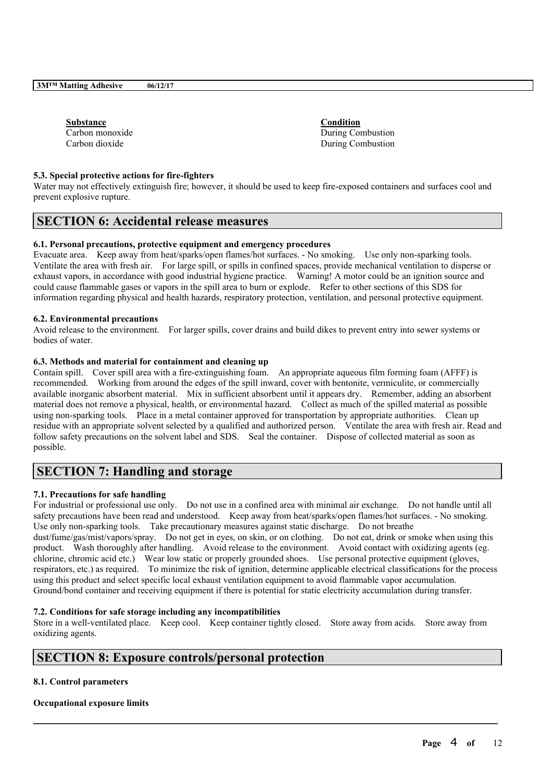| <b>Substance</b> |  |
|------------------|--|
| Carbon monoxide  |  |
| Carbon dioxide   |  |

**Substance Condition** During Combustion During Combustion

### **5.3. Special protective actions for fire-fighters**

Water may not effectively extinguish fire; however, it should be used to keep fire-exposed containers and surfaces cool and prevent explosive rupture.

# **SECTION 6: Accidental release measures**

### **6.1. Personal precautions, protective equipment and emergency procedures**

Evacuate area. Keep away from heat/sparks/open flames/hot surfaces. - No smoking. Use only non-sparking tools. Ventilate the area with fresh air. For large spill, or spills in confined spaces, provide mechanical ventilation to disperse or exhaust vapors, in accordance with good industrial hygiene practice. Warning! A motor could be an ignition source and could cause flammable gases or vapors in the spill area to burn or explode. Refer to other sections of this SDS for information regarding physical and health hazards, respiratory protection, ventilation, and personal protective equipment.

### **6.2. Environmental precautions**

Avoid release to the environment. For larger spills, cover drains and build dikes to prevent entry into sewer systems or bodies of water.

### **6.3. Methods and material for containment and cleaning up**

Contain spill. Cover spill area with a fire-extinguishing foam. An appropriate aqueous film forming foam (AFFF) is recommended. Working from around the edges of the spill inward, cover with bentonite, vermiculite, or commercially available inorganic absorbent material. Mix in sufficient absorbent until it appears dry. Remember, adding an absorbent material does not remove a physical, health, or environmental hazard. Collect as much of the spilled material as possible using non-sparking tools. Place in a metal container approved for transportation by appropriate authorities. Clean up residue with an appropriate solvent selected by a qualified and authorized person. Ventilate the area with fresh air. Read and follow safety precautions on the solvent label and SDS. Seal the container. Dispose of collected material as soon as possible.

# **SECTION 7: Handling and storage**

### **7.1. Precautions for safe handling**

For industrial or professional use only. Do not use in a confined area with minimal air exchange. Do not handle until all safety precautions have been read and understood. Keep away from heat/sparks/open flames/hot surfaces. - No smoking. Use only non-sparking tools. Take precautionary measures against static discharge. Do not breathe dust/fume/gas/mist/vapors/spray. Do not get in eyes, on skin, or on clothing. Do not eat, drink or smoke when using this product. Wash thoroughly after handling. Avoid release to the environment. Avoid contact with oxidizing agents (eg. chlorine, chromic acid etc.) Wear low static or properly grounded shoes. Use personal protective equipment (gloves, respirators, etc.) as required. To minimize the risk of ignition, determine applicable electrical classifications for the process using this product and select specific local exhaust ventilation equipment to avoid flammable vapor accumulation. Ground/bond container and receiving equipment if there is potential for static electricity accumulation during transfer.

### **7.2. Conditions for safe storage including any incompatibilities**

Store in a well-ventilated place. Keep cool. Keep container tightly closed. Store away from acids. Store away from oxidizing agents.

 $\mathcal{L}_\mathcal{L} = \mathcal{L}_\mathcal{L} = \mathcal{L}_\mathcal{L} = \mathcal{L}_\mathcal{L} = \mathcal{L}_\mathcal{L} = \mathcal{L}_\mathcal{L} = \mathcal{L}_\mathcal{L} = \mathcal{L}_\mathcal{L} = \mathcal{L}_\mathcal{L} = \mathcal{L}_\mathcal{L} = \mathcal{L}_\mathcal{L} = \mathcal{L}_\mathcal{L} = \mathcal{L}_\mathcal{L} = \mathcal{L}_\mathcal{L} = \mathcal{L}_\mathcal{L} = \mathcal{L}_\mathcal{L} = \mathcal{L}_\mathcal{L}$ 

# **SECTION 8: Exposure controls/personal protection**

### **8.1. Control parameters**

### **Occupational exposure limits**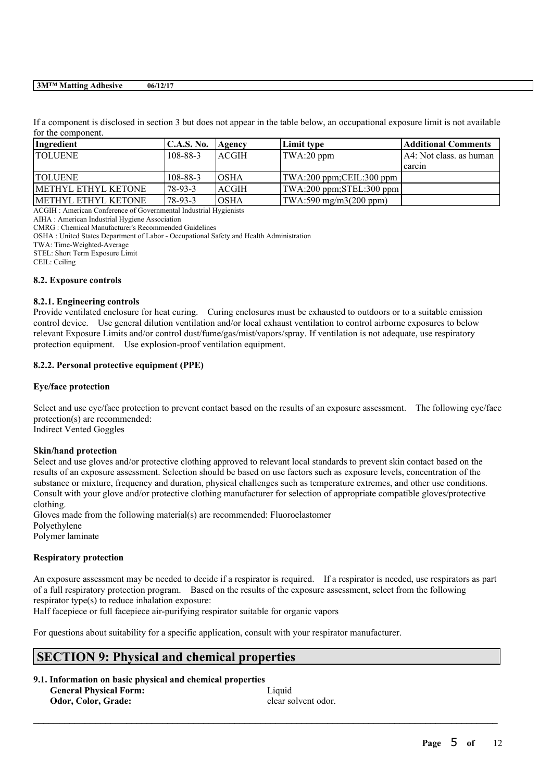If a component is disclosed in section 3 but does not appear in the table below, an occupational exposure limit is not available for the component.

| Ingredient           | <b>C.A.S. No.</b> | Agency       | Limit type                                      | Additional Comments      |
|----------------------|-------------------|--------------|-------------------------------------------------|--------------------------|
| <b>TOLUENE</b>       | $108 - 88 - 3$    | ACGIH        | TWA:20 ppm                                      | IA4: Not class, as human |
|                      |                   |              |                                                 | l carcin                 |
| <b>TOLUENE</b>       | $108 - 88 - 3$    | IOSHA        | $ TWA:200$ ppm; CEIL: 300 ppm                   |                          |
| IMETHYL ETHYL KETONE | 78-93-3           | <b>ACGIH</b> | $ TWA:200$ ppm; $STEL:300$ ppm                  |                          |
| IMETHYL ETHYL KETONE | 78-93-3           | <b>OSHA</b>  | $\text{TWA}:590 \text{ mg/m}3(200 \text{ ppm})$ |                          |

ACGIH : American Conference of Governmental Industrial Hygienists

AIHA : American Industrial Hygiene Association

CMRG : Chemical Manufacturer's Recommended Guidelines

OSHA : United States Department of Labor - Occupational Safety and Health Administration

TWA: Time-Weighted-Average

STEL: Short Term Exposure Limit

CEIL: Ceiling

### **8.2. Exposure controls**

### **8.2.1. Engineering controls**

Provide ventilated enclosure for heat curing. Curing enclosures must be exhausted to outdoors or to a suitable emission control device. Use general dilution ventilation and/or local exhaust ventilation to control airborne exposures to below relevant Exposure Limits and/or control dust/fume/gas/mist/vapors/spray. If ventilation is not adequate, use respiratory protection equipment. Use explosion-proof ventilation equipment.

### **8.2.2. Personal protective equipment (PPE)**

### **Eye/face protection**

Select and use eye/face protection to prevent contact based on the results of an exposure assessment. The following eye/face protection(s) are recommended:

Indirect Vented Goggles

### **Skin/hand protection**

Select and use gloves and/or protective clothing approved to relevant local standards to prevent skin contact based on the results of an exposure assessment. Selection should be based on use factors such as exposure levels, concentration of the substance or mixture, frequency and duration, physical challenges such as temperature extremes, and other use conditions. Consult with your glove and/or protective clothing manufacturer for selection of appropriate compatible gloves/protective clothing.

Gloves made from the following material(s) are recommended: Fluoroelastomer Polyethylene Polymer laminate

### **Respiratory protection**

An exposure assessment may be needed to decide if a respirator is required. If a respirator is needed, use respirators as part of a full respiratory protection program. Based on the results of the exposure assessment, select from the following respirator type(s) to reduce inhalation exposure:

 $\mathcal{L}_\mathcal{L} = \mathcal{L}_\mathcal{L} = \mathcal{L}_\mathcal{L} = \mathcal{L}_\mathcal{L} = \mathcal{L}_\mathcal{L} = \mathcal{L}_\mathcal{L} = \mathcal{L}_\mathcal{L} = \mathcal{L}_\mathcal{L} = \mathcal{L}_\mathcal{L} = \mathcal{L}_\mathcal{L} = \mathcal{L}_\mathcal{L} = \mathcal{L}_\mathcal{L} = \mathcal{L}_\mathcal{L} = \mathcal{L}_\mathcal{L} = \mathcal{L}_\mathcal{L} = \mathcal{L}_\mathcal{L} = \mathcal{L}_\mathcal{L}$ 

Half facepiece or full facepiece air-purifying respirator suitable for organic vapors

For questions about suitability for a specific application, consult with your respirator manufacturer.

# **SECTION 9: Physical and chemical properties**

### **9.1. Information on basic physical and chemical properties**

**General Physical Form:** Liquid

**Odor, Color, Grade:** clear solvent odor.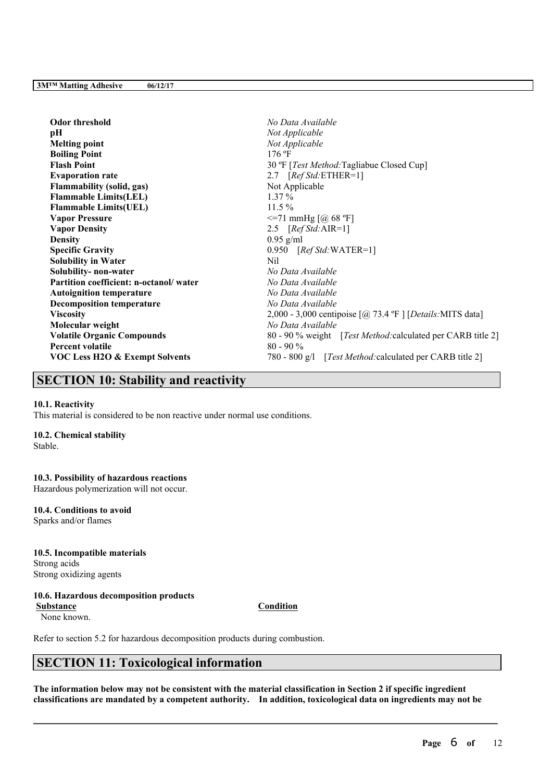**Odor threshold** *No Data Available* **pH** *Not Applicable* **Melting point** *Not Applicable* **Boiling Point** 176 °F **Flash Point** 30 ºF [*Test Method:*Tagliabue Closed Cup] **Evaporation rate** 2.7 [*Ref Std:*ETHER=1] **Flammability** (solid, gas) Not Applicable **Flammable Limits(LEL)** 1.37 % **Flammable Limits(UEL)** 11.5 % **Vapor Pressure** <=71 mmHg [@ 68 ºF] **Vapor Density** 2.5 [*Ref Std:*AIR=1] **Density** 0.95 g/ml **Specific Gravity** 0.950 [*Ref Std:*WATER=1] **Solubility** in Water Nil **Solubility- non-water** *No Data Available* **Partition coefficient: n-octanol/ water** *No Data Available* **Autoignition temperature** *No Data Available* **Decomposition temperature** *No Data Available* **Viscosity** 2,000 - 3,000 centipoise [@ 73.4 ºF ] [*Details:*MITS data] **Molecular weight** *No Data Available* **Volatile Organic Compounds** 80 - 90 % weight [*Test Method:*calculated per CARB title 2] **Percent volatile** 80 - 90 % **VOC Less H2O & Exempt Solvents** 780 - 800 g/l [*Test Method:*calculated per CARB title 2]

# **SECTION 10: Stability and reactivity**

### **10.1. Reactivity**

This material is considered to be non reactive under normal use conditions.

### **10.2. Chemical stability**

Stable.

### **10.3. Possibility of hazardous reactions**

Hazardous polymerization will not occur.

# **10.4. Conditions to avoid**

Sparks and/or flames

### **10.5. Incompatible materials** Strong acids

Strong oxidizing agents

### **10.6. Hazardous decomposition products**

**Substance Condition**

None known.

Refer to section 5.2 for hazardous decomposition products during combustion.

# **SECTION 11: Toxicological information**

The information below may not be consistent with the material classification in Section 2 if specific ingredient **classifications are mandated by a competent authority. In addition, toxicological data on ingredients may not be**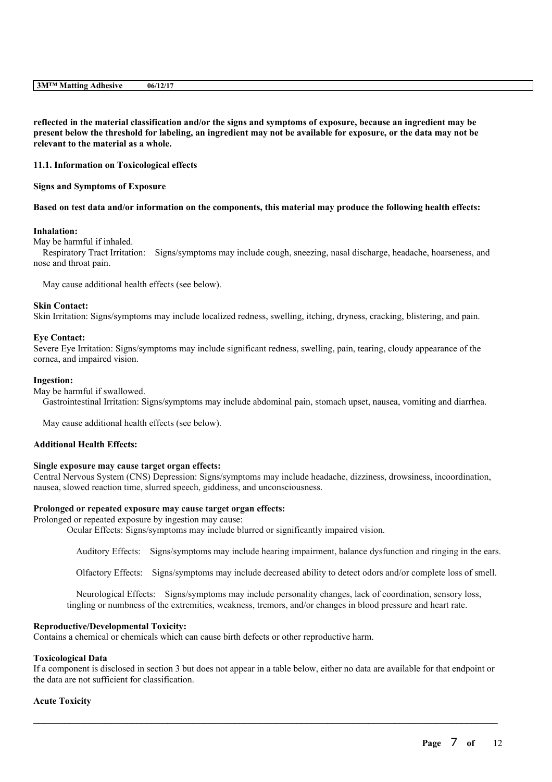|  | 06/12/17 | <b>3MTM Matting Adhesive</b> |
|--|----------|------------------------------|
|--|----------|------------------------------|

reflected in the material classification and/or the signs and symptoms of exposure, because an ingredient may be present below the threshold for labeling, an ingredient may not be available for exposure, or the data may not be **relevant to the material as a whole.**

### **11.1. Information on Toxicological effects**

### **Signs and Symptoms of Exposure**

### Based on test data and/or information on the components, this material may produce the following health effects:

### **Inhalation:**

May be harmful if inhaled.

Respiratory Tract Irritation: Signs/symptoms may include cough, sneezing, nasal discharge, headache, hoarseness, and nose and throat pain.

May cause additional health effects (see below).

### **Skin Contact:**

Skin Irritation: Signs/symptoms may include localized redness, swelling, itching, dryness, cracking, blistering, and pain.

### **Eye Contact:**

Severe Eye Irritation: Signs/symptoms may include significant redness, swelling, pain, tearing, cloudy appearance of the cornea, and impaired vision.

### **Ingestion:**

May be harmful if swallowed.

Gastrointestinal Irritation: Signs/symptoms may include abdominal pain, stomach upset, nausea, vomiting and diarrhea.

May cause additional health effects (see below).

### **Additional Health Effects:**

### **Single exposure may cause target organ effects:**

Central Nervous System (CNS) Depression: Signs/symptoms may include headache, dizziness, drowsiness, incoordination, nausea, slowed reaction time, slurred speech, giddiness, and unconsciousness.

### **Prolonged or repeated exposure may cause target organ effects:**

Prolonged or repeated exposure by ingestion may cause:

Ocular Effects: Signs/symptoms may include blurred or significantly impaired vision.

Auditory Effects: Signs/symptoms may include hearing impairment, balance dysfunction and ringing in the ears.

Olfactory Effects: Signs/symptoms may include decreased ability to detect odors and/or complete loss of smell.

Neurological Effects: Signs/symptoms may include personality changes, lack of coordination, sensory loss, tingling or numbness of the extremities, weakness, tremors, and/or changes in blood pressure and heart rate.

### **Reproductive/Developmental Toxicity:**

Contains a chemical or chemicals which can cause birth defects or other reproductive harm.

### **Toxicological Data**

If a component is disclosed in section 3 but does not appear in a table below, either no data are available for that endpoint or the data are not sufficient for classification.

 $\mathcal{L}_\mathcal{L} = \mathcal{L}_\mathcal{L} = \mathcal{L}_\mathcal{L} = \mathcal{L}_\mathcal{L} = \mathcal{L}_\mathcal{L} = \mathcal{L}_\mathcal{L} = \mathcal{L}_\mathcal{L} = \mathcal{L}_\mathcal{L} = \mathcal{L}_\mathcal{L} = \mathcal{L}_\mathcal{L} = \mathcal{L}_\mathcal{L} = \mathcal{L}_\mathcal{L} = \mathcal{L}_\mathcal{L} = \mathcal{L}_\mathcal{L} = \mathcal{L}_\mathcal{L} = \mathcal{L}_\mathcal{L} = \mathcal{L}_\mathcal{L}$ 

### **Acute Toxicity**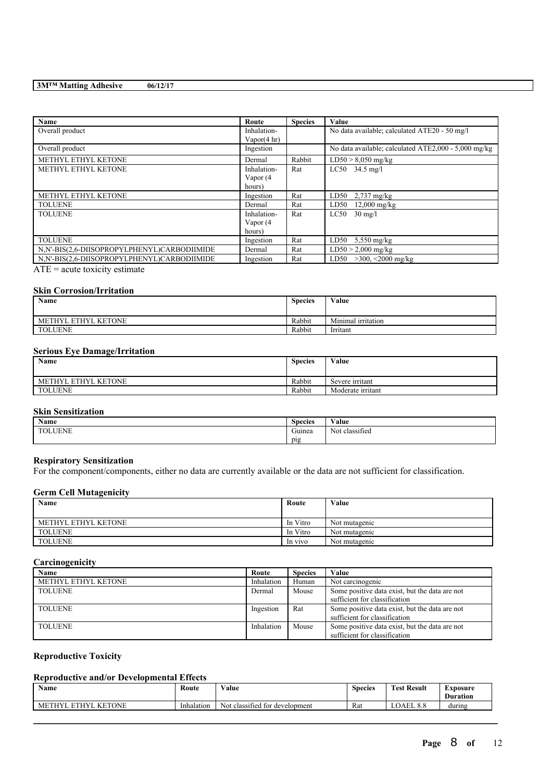| Name                                          | Route                  | <b>Species</b> | Value                                                |
|-----------------------------------------------|------------------------|----------------|------------------------------------------------------|
| Overall product                               | Inhalation-            |                | No data available; calculated ATE20 - 50 mg/l        |
|                                               | Vapor $(4 \text{ hr})$ |                |                                                      |
| Overall product                               | Ingestion              |                | No data available; calculated ATE2,000 - 5,000 mg/kg |
| METHYL ETHYL KETONE                           | Dermal                 | Rabbit         | $LD50 > 8,050$ mg/kg                                 |
| METHYL ETHYL KETONE                           | Inhalation-            | Rat            | $LC50$ 34.5 mg/l                                     |
|                                               | Vapor (4               |                |                                                      |
|                                               | hours)                 |                |                                                      |
| METHYL ETHYL KETONE                           | Ingestion              | Rat            | LD50<br>$2,737$ mg/kg                                |
| <b>TOLUENE</b>                                | Dermal                 | Rat            | LD50<br>$12,000$ mg/kg                               |
| <b>TOLUENE</b>                                | Inhalation-            | Rat            | LC50<br>$30 \text{ mg/l}$                            |
|                                               | Vapor (4               |                |                                                      |
|                                               | hours)                 |                |                                                      |
| <b>TOLUENE</b>                                | Ingestion              | Rat            | $5,550$ mg/kg<br>LD50                                |
| N,N'-BIS(2,6-DIISOPROPYLPHENYL)CARBODIIMIDE   | Dermal                 | Rat            | $LD50 > 2,000$ mg/kg                                 |
| N,N'-BIS(2,6-DIISOPROPYLPHENYL)CARBODIIMIDE   | Ingestion              | Rat            | LD50 $>300$ , <2000 mg/kg                            |
| $\Lambda$ TE $=$ a suita tambable a structure |                        |                |                                                      |

 $ATE = acute$  toxicity estimate

### **Skin Corrosion/Irritation**

| Name                                 | <b>Species</b> | Value              |
|--------------------------------------|----------------|--------------------|
|                                      |                |                    |
| <b>METHYL ETHYL</b><br><b>KETONE</b> | Rabbit         | Minimal irritation |
| <b>TOLUENE</b>                       | Rabbit         | Irritant           |

## **Serious Eye Damage/Irritation**

| Name                | <b>Species</b> | Value             |
|---------------------|----------------|-------------------|
| METHYL ETHYL KETONE | Rabbit         | Severe irritant   |
| <b>TOLUENE</b>      | Rabbit         | Moderate irritant |

# **Skin Sensitization**

| <b>Name</b>                  | <b>Species</b>   | <b>WY 3</b><br>√alue         |
|------------------------------|------------------|------------------------------|
| <b>TOLUENE</b><br>$\sqrt{2}$ | $\sim$<br>Guinea | $\cdot$<br>Not<br>classified |
|                              | pig              |                              |

### **Respiratory Sensitization**

For the component/components, either no data are currently available or the data are not sufficient for classification.

### **Germ Cell Mutagenicity**

| Name                | Route    | Value         |
|---------------------|----------|---------------|
| METHYL ETHYL KETONE | In Vitro | Not mutagenic |
| <b>TOLUENE</b>      | In Vitro | Not mutagenic |
| <b>TOLUENE</b>      | In vivo  | Not mutagenic |

### **Carcinogenicity**

| <b>Name</b>         | Route      | <b>Species</b> | Value                                                                           |
|---------------------|------------|----------------|---------------------------------------------------------------------------------|
| METHYL ETHYL KETONE | Inhalation | Human          | Not carcinogenic                                                                |
| <b>TOLUENE</b>      | Dermal     | Mouse          | Some positive data exist, but the data are not<br>sufficient for classification |
| <b>TOLUENE</b>      | Ingestion  | Rat            | Some positive data exist, but the data are not<br>sufficient for classification |
| <b>TOLUENE</b>      | Inhalation | Mouse          | Some positive data exist, but the data are not<br>sufficient for classification |

# **Reproductive Toxicity**

# **Reproductive and/or Developmental Effects**

| <b>B</b> T<br>Name           | Route      | $\mathbf{v}$ $\mathbf{v}$<br>Value               | $\sim$<br><b>Species</b> | <b>Test Result</b>                     | Exposure<br>Duration |
|------------------------------|------------|--------------------------------------------------|--------------------------|----------------------------------------|----------------------|
| <b>KETONE</b><br>ETHYI<br>МF | Inhalation | $\sim$<br>classified<br>l for development<br>Not | Rat                      | <b>OAEL</b><br>$\Omega$<br>$\sigma$ .o | during               |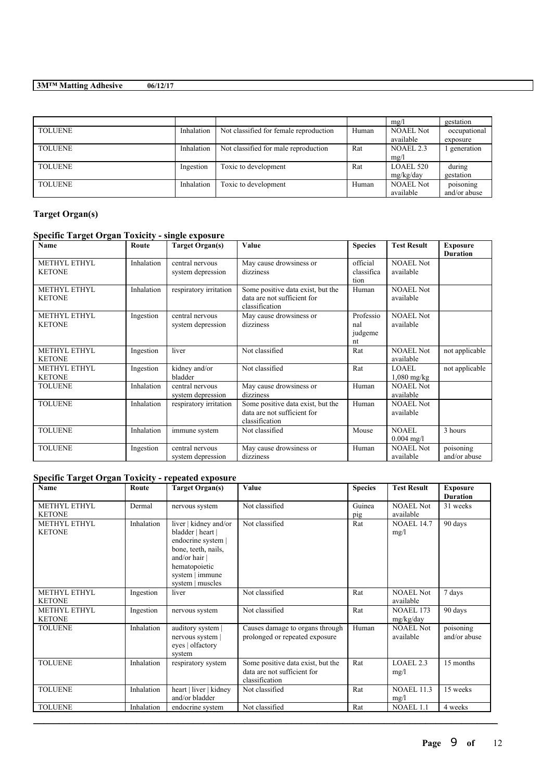|                |            |                                        |       | mg/l             | gestation    |
|----------------|------------|----------------------------------------|-------|------------------|--------------|
| <b>TOLUENE</b> | Inhalation | Not classified for female reproduction | Human | <b>NOAEL Not</b> | occupational |
|                |            |                                        |       | available        | exposure     |
| <b>TOLUENE</b> | Inhalation | Not classified for male reproduction   | Rat   | NOAEL 2.3        | generation   |
|                |            |                                        |       | mg/l             |              |
| <b>TOLUENE</b> | Ingestion  | Toxic to development                   | Rat   | LOAEL 520        | during       |
|                |            |                                        |       | mg/kg/day        | gestation    |
| <b>TOLUENE</b> | Inhalation | Toxic to development                   | Human | <b>NOAEL Not</b> | poisoning    |
|                |            |                                        |       | available        | and/or abuse |

# **Target Organ(s)**

# **Specific Target Organ Toxicity - single exposure**

| Name                                 | Route      | <b>Target Organ(s)</b>               | Value                                                                              | <b>Species</b>                    | <b>Test Result</b>            | <b>Exposure</b><br><b>Duration</b> |
|--------------------------------------|------------|--------------------------------------|------------------------------------------------------------------------------------|-----------------------------------|-------------------------------|------------------------------------|
| METHYL ETHYL<br><b>KETONE</b>        | Inhalation | central nervous<br>system depression | May cause drowsiness or<br>dizziness                                               | official<br>classifica<br>tion    | <b>NOAEL Not</b><br>available |                                    |
| <b>METHYL ETHYL</b><br><b>KETONE</b> | Inhalation | respiratory irritation               | Some positive data exist, but the<br>data are not sufficient for<br>classification | Human                             | <b>NOAEL Not</b><br>available |                                    |
| METHYL ETHYL<br><b>KETONE</b>        | Ingestion  | central nervous<br>system depression | May cause drowsiness or<br>dizziness                                               | Professio<br>nal<br>judgeme<br>nt | <b>NOAEL Not</b><br>available |                                    |
| METHYL ETHYL<br><b>KETONE</b>        | Ingestion  | liver                                | Not classified                                                                     | Rat                               | <b>NOAEL Not</b><br>available | not applicable                     |
| METHYL ETHYL<br><b>KETONE</b>        | Ingestion  | kidney and/or<br>bladder             | Not classified                                                                     | Rat                               | <b>LOAEL</b><br>$1,080$ mg/kg | not applicable                     |
| <b>TOLUENE</b>                       | Inhalation | central nervous<br>system depression | May cause drowsiness or<br>dizziness                                               | Human                             | <b>NOAEL Not</b><br>available |                                    |
| <b>TOLUENE</b>                       | Inhalation | respiratory irritation               | Some positive data exist, but the<br>data are not sufficient for<br>classification | Human                             | <b>NOAEL Not</b><br>available |                                    |
| <b>TOLUENE</b>                       | Inhalation | immune system                        | Not classified                                                                     | Mouse                             | <b>NOAEL</b><br>$0.004$ mg/l  | 3 hours                            |
| <b>TOLUENE</b>                       | Ingestion  | central nervous<br>system depression | May cause drowsiness or<br>dizziness                                               | Human                             | <b>NOAEL Not</b><br>available | poisoning<br>and/or abuse          |

# **Specific Target Organ Toxicity - repeated exposure**

| Name                                 | Route      | <b>Target Organ(s)</b>                                                                                                                                           | Value                                                                              | <b>Species</b> | <b>Test Result</b>            | <b>Exposure</b><br><b>Duration</b> |
|--------------------------------------|------------|------------------------------------------------------------------------------------------------------------------------------------------------------------------|------------------------------------------------------------------------------------|----------------|-------------------------------|------------------------------------|
| <b>METHYL ETHYL</b><br><b>KETONE</b> | Dermal     | nervous system                                                                                                                                                   | Not classified                                                                     | Guinea<br>pig  | <b>NOAEL Not</b><br>available | 31 weeks                           |
| METHYL ETHYL<br><b>KETONE</b>        | Inhalation | liver   kidney and/or<br>bladder   heart  <br>endocrine system  <br>bone, teeth, nails,<br>and/or hair  <br>hematopoietic<br>system   immune<br>system   muscles | Not classified                                                                     | Rat            | <b>NOAEL 14.7</b><br>mg/l     | 90 days                            |
| <b>METHYL ETHYL</b><br><b>KETONE</b> | Ingestion  | liver                                                                                                                                                            | Not classified                                                                     | Rat            | <b>NOAEL Not</b><br>available | 7 days                             |
| <b>METHYL ETHYL</b><br><b>KETONE</b> | Ingestion  | nervous system                                                                                                                                                   | Not classified                                                                     | Rat            | <b>NOAEL 173</b><br>mg/kg/day | 90 days                            |
| <b>TOLUENE</b>                       | Inhalation | auditory system  <br>nervous system  <br>eyes   olfactory<br>system                                                                                              | Causes damage to organs through<br>prolonged or repeated exposure                  | Human          | <b>NOAEL Not</b><br>available | poisoning<br>and/or abuse          |
| <b>TOLUENE</b>                       | Inhalation | respiratory system                                                                                                                                               | Some positive data exist, but the<br>data are not sufficient for<br>classification | Rat            | LOAEL.2.3<br>mg/l             | 15 months                          |
| <b>TOLUENE</b>                       | Inhalation | heart   liver   kidney<br>and/or bladder                                                                                                                         | Not classified                                                                     | Rat            | <b>NOAEL 11.3</b><br>mg/l     | 15 weeks                           |
| <b>TOLUENE</b>                       | Inhalation | endocrine system                                                                                                                                                 | Not classified                                                                     | Rat            | <b>NOAEL 1.1</b>              | 4 weeks                            |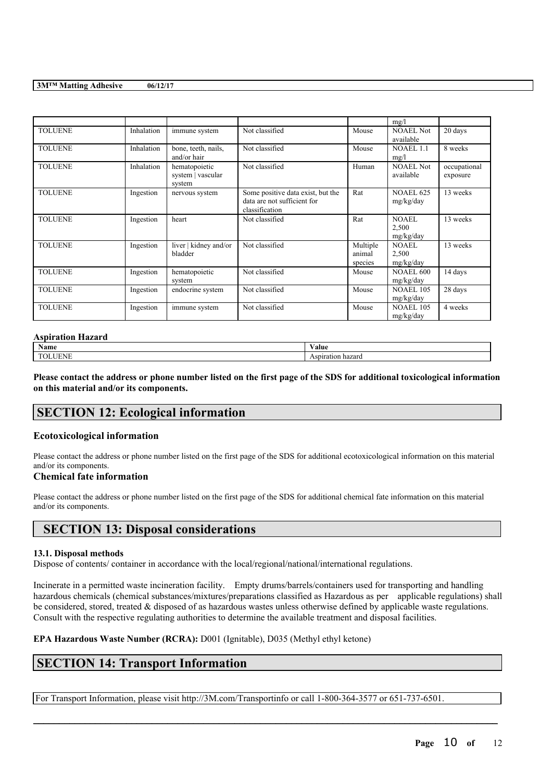|                |            |                       |                                   |          | mg/l             |              |
|----------------|------------|-----------------------|-----------------------------------|----------|------------------|--------------|
| <b>TOLUENE</b> | Inhalation | immune system         | Not classified                    | Mouse    | <b>NOAEL Not</b> | 20 days      |
|                |            |                       |                                   |          | available        |              |
| <b>TOLUENE</b> | Inhalation | bone, teeth, nails,   | Not classified                    | Mouse    | <b>NOAEL 1.1</b> | 8 weeks      |
|                |            | and/or hair           |                                   |          | mg/l             |              |
| <b>TOLUENE</b> | Inhalation | hematopoietic         | Not classified                    | Human    | <b>NOAEL Not</b> | occupational |
|                |            | system   vascular     |                                   |          | available        | exposure     |
|                |            | system                |                                   |          |                  |              |
| <b>TOLUENE</b> | Ingestion  | nervous system        | Some positive data exist, but the | Rat      | <b>NOAEL 625</b> | 13 weeks     |
|                |            |                       | data are not sufficient for       |          | mg/kg/day        |              |
|                |            |                       | classification                    |          |                  |              |
| <b>TOLUENE</b> | Ingestion  | heart                 | Not classified                    | Rat      | <b>NOAEL</b>     | 13 weeks     |
|                |            |                       |                                   |          | 2,500            |              |
|                |            |                       |                                   |          | mg/kg/day        |              |
| <b>TOLUENE</b> | Ingestion  | liver   kidney and/or | Not classified                    | Multiple | <b>NOAEL</b>     | 13 weeks     |
|                |            | bladder               |                                   | animal   | 2,500            |              |
|                |            |                       |                                   | species  | mg/kg/day        |              |
| <b>TOLUENE</b> | Ingestion  | hematopoietic         | Not classified                    | Mouse    | <b>NOAEL 600</b> | 14 days      |
|                |            | system                |                                   |          | mg/kg/day        |              |
| <b>TOLUENE</b> | Ingestion  | endocrine system      | Not classified                    | Mouse    | <b>NOAEL 105</b> | 28 days      |
|                |            |                       |                                   |          | mg/kg/day        |              |
| <b>TOLUENE</b> | Ingestion  | immune system         | Not classified                    | Mouse    | <b>NOAEL 105</b> | 4 weeks      |
|                |            |                       |                                   |          | mg/kg/day        |              |

### **Aspiration Hazard**

| Name   | $-1$<br>⁄ alue                       |
|--------|--------------------------------------|
| $\sim$ | hazard<br>783<br>וו<br>. ASDII ation |

Please contact the address or phone number listed on the first page of the SDS for additional toxicological information **on this material and/or its components.**

# **SECTION 12: Ecological information**

### **Ecotoxicological information**

Please contact the address or phone number listed on the first page of the SDS for additional ecotoxicological information on this material and/or its components.

### **Chemical fate information**

Please contact the address or phone number listed on the first page of the SDS for additional chemical fate information on this material and/or its components.

# **SECTION 13: Disposal considerations**

### **13.1. Disposal methods**

Dispose of contents/ container in accordance with the local/regional/national/international regulations.

Incinerate in a permitted waste incineration facility. Empty drums/barrels/containers used for transporting and handling hazardous chemicals (chemical substances/mixtures/preparations classified as Hazardous as per applicable regulations) shall be considered, stored, treated & disposed of as hazardous wastes unless otherwise defined by applicable waste regulations. Consult with the respective regulating authorities to determine the available treatment and disposal facilities.

 $\mathcal{L}_\mathcal{L} = \mathcal{L}_\mathcal{L} = \mathcal{L}_\mathcal{L} = \mathcal{L}_\mathcal{L} = \mathcal{L}_\mathcal{L} = \mathcal{L}_\mathcal{L} = \mathcal{L}_\mathcal{L} = \mathcal{L}_\mathcal{L} = \mathcal{L}_\mathcal{L} = \mathcal{L}_\mathcal{L} = \mathcal{L}_\mathcal{L} = \mathcal{L}_\mathcal{L} = \mathcal{L}_\mathcal{L} = \mathcal{L}_\mathcal{L} = \mathcal{L}_\mathcal{L} = \mathcal{L}_\mathcal{L} = \mathcal{L}_\mathcal{L}$ 

**EPA Hazardous Waste Number (RCRA):** D001 (Ignitable), D035 (Methyl ethyl ketone)

# **SECTION 14: Transport Information**

For Transport Information, please visit http://3M.com/Transportinfo or call 1-800-364-3577 or 651-737-6501.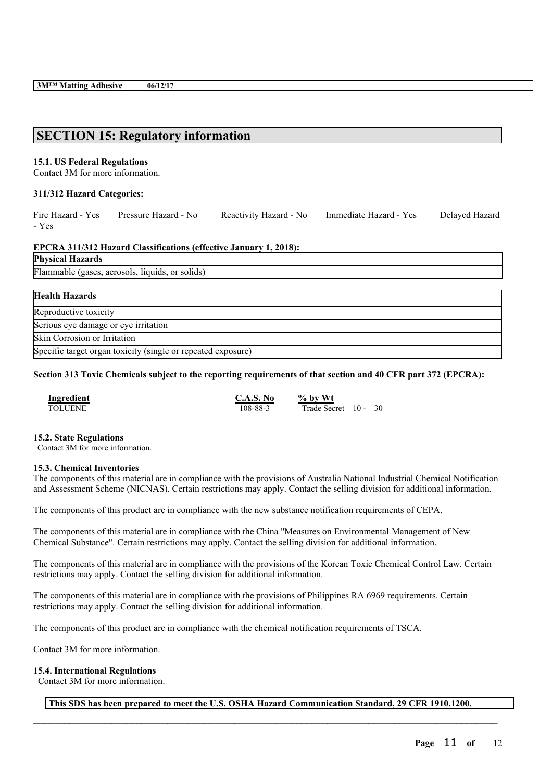# **SECTION 15: Regulatory information**

### **15.1. US Federal Regulations**

Contact 3M for more information.

### **311/312 Hazard Categories:**

| Fire Hazard - Yes | Pressure Hazard - No | Reactivity Hazard - No | Immediate Hazard - Yes | Delayed Hazard |
|-------------------|----------------------|------------------------|------------------------|----------------|
| - Yes             |                      |                        |                        |                |
|                   |                      |                        |                        |                |

### **EPCRA 311/312 Hazard Classifications (effective January 1, 2018):**

**Physical Hazards**

Flammable (gases, aerosols, liquids, or solids)

| <b>Health Hazards</b>                                        |
|--------------------------------------------------------------|
| Reproductive toxicity                                        |
| Serious eye damage or eye irritation                         |
| Skin Corrosion or Irritation                                 |
| Specific target organ toxicity (single or repeated exposure) |

### Section 313 Toxic Chemicals subject to the reporting requirements of that section and 40 CFR part 372 (EPCRA):

| <b>Ingredient</b> | <b>C.A.S. No</b> | $\%$ by Wt        |     |
|-------------------|------------------|-------------------|-----|
| <b>TOLUENE</b>    | 108-88-3         | Trade Secret 10 - | -30 |

### **15.2. State Regulations**

Contact 3M for more information.

### **15.3. Chemical Inventories**

The components of this material are in compliance with the provisions of Australia National Industrial Chemical Notification and Assessment Scheme (NICNAS). Certain restrictions may apply. Contact the selling division for additional information.

The components of this product are in compliance with the new substance notification requirements of CEPA.

The components of this material are in compliance with the China "Measures on Environmental Management of New Chemical Substance". Certain restrictions may apply. Contact the selling division for additional information.

The components of this material are in compliance with the provisions of the Korean Toxic Chemical Control Law. Certain restrictions may apply. Contact the selling division for additional information.

The components of this material are in compliance with the provisions of Philippines RA 6969 requirements. Certain restrictions may apply. Contact the selling division for additional information.

The components of this product are in compliance with the chemical notification requirements of TSCA.

Contact 3M for more information.

### **15.4. International Regulations**

Contact 3M for more information.

**This SDS has been prepared to meet the U.S. OSHA Hazard Communication Standard, 29 CFR 1910.1200.**